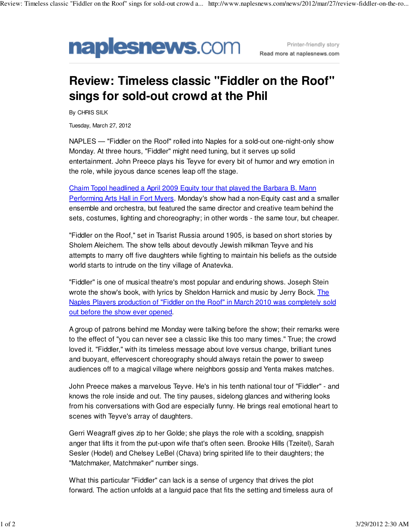

Printer-friendly story Read more at naplesnews.com

## **Review: Timeless classic "Fiddler on the Roof" sings for sold-out crowd at the Phil**

By CHRIS SILK

Tuesday, March 27, 2012

NAPLES — "Fiddler on the Roof" rolled into Naples for a sold-out one-night-only show Monday. At three hours, "Fiddler" might need tuning, but it serves up solid entertainment. John Preece plays his Teyve for every bit of humor and wry emotion in the role, while joyous dance scenes leap off the stage.

Chaim Topol headlined a April 2009 Equity tour that played the Barbara B. Mann Performing Arts Hall in Fort Myers. Monday's show had a non-Equity cast and a smaller ensemble and orchestra, but featured the same director and creative team behind the sets, costumes, lighting and choreography; in other words - the same tour, but cheaper.

"Fiddler on the Roof," set in Tsarist Russia around 1905, is based on short stories by Sholem Aleichem. The show tells about devoutly Jewish milkman Teyve and his attempts to marry off five daughters while fighting to maintain his beliefs as the outside world starts to intrude on the tiny village of Anatevka.

"Fiddler" is one of musical theatre's most popular and enduring shows. Joseph Stein wrote the show's book, with lyrics by Sheldon Harnick and music by Jerry Bock. The Naples Players production of "Fiddler on the Roof" in March 2010 was completely sold out before the show ever opened.

A group of patrons behind me Monday were talking before the show; their remarks were to the effect of "you can never see a classic like this too many times." True; the crowd loved it. "Fiddler," with its timeless message about love versus change, brilliant tunes and buoyant, effervescent choreography should always retain the power to sweep audiences off to a magical village where neighbors gossip and Yenta makes matches.

John Preece makes a marvelous Teyve. He's in his tenth national tour of "Fiddler" - and knows the role inside and out. The tiny pauses, sidelong glances and withering looks from his conversations with God are especially funny. He brings real emotional heart to scenes with Teyve's array of daughters.

Gerri Weagraff gives zip to her Golde; she plays the role with a scolding, snappish anger that lifts it from the put-upon wife that's often seen. Brooke Hills (Tzeitel), Sarah Sesler (Hodel) and Chelsey LeBel (Chava) bring spirited life to their daughters; the "Matchmaker, Matchmaker" number sings.

What this particular "Fiddler" can lack is a sense of urgency that drives the plot forward. The action unfolds at a languid pace that fits the setting and timeless aura of